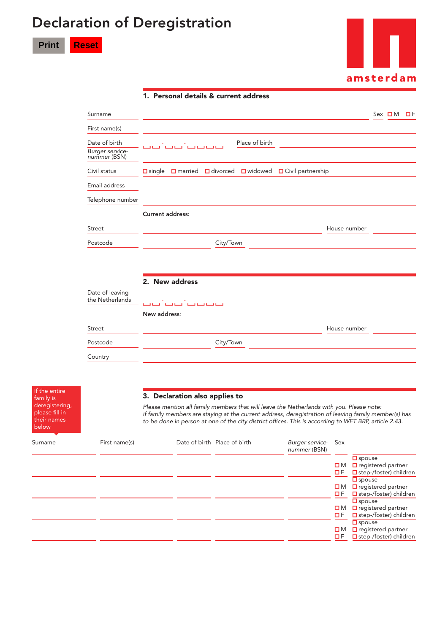## Declaration of Deregistration

**Print Reset**

If the entire family is deregistering, please fill in their names below



|                                                  | 1. Personal details & current address                                                         |                         |  |
|--------------------------------------------------|-----------------------------------------------------------------------------------------------|-------------------------|--|
| Surname                                          |                                                                                               | $Sex$ $\Box M$ $\Box F$ |  |
| First name(s)                                    |                                                                                               |                         |  |
| Date of birth<br>Burger service-<br>nummer (BSN) | Place of birth<br>فينا فينا فينا                                                              |                         |  |
| Civil status                                     | $\Box$ married $\Box$ divorced<br><b>□</b> widowed<br>□ Civil partnership<br>$\square$ single |                         |  |
| Email address                                    |                                                                                               |                         |  |
| Telephone number                                 |                                                                                               |                         |  |
|                                                  | <b>Current address:</b>                                                                       |                         |  |
| Street                                           | House number                                                                                  |                         |  |
| Postcode                                         | City/Town                                                                                     |                         |  |
|                                                  |                                                                                               |                         |  |
|                                                  | 2. New address                                                                                |                         |  |
| Date of leaving<br>the Netherlands               | فتنافينا فتنافينا المنافينا المنافينا                                                         |                         |  |
|                                                  | New address:                                                                                  |                         |  |
| Street                                           | House number                                                                                  |                         |  |
| Postcode                                         | City/Town                                                                                     |                         |  |
| Country                                          |                                                                                               |                         |  |

## 3. Declaration also applies to

*Please mention all family members that will leave the Netherlands with you. Please note: if family members are staying at the current address, deregistration of leaving family member(s) has to be done in person at one of the city district of ces. This is according to WET BRP, article 2.43.*

| Surname | First name(s) | Date of birth Place of birth | Burger service- Sex<br>nummer (BSN) |                     |                                                                                |
|---------|---------------|------------------------------|-------------------------------------|---------------------|--------------------------------------------------------------------------------|
|         |               |                              |                                     | $\square$ M         | $\square$ spouse<br>$\Box$ registered partner                                  |
|         |               |                              |                                     | ПF                  | $\Box$ step-/foster) children                                                  |
|         |               |                              |                                     | $\square$ M<br>O F  | $\square$ spouse<br>$\Box$ registered partner<br>$\Box$ step-/foster) children |
|         |               |                              |                                     | ΩΜ<br>O F.          | $\square$ spouse<br>$\Box$ registered partner<br>$\Box$ step-/foster) children |
|         |               |                              |                                     | $\square$ M<br>O F. | $\square$ spouse<br>$\Box$ registered partner<br>$\Box$ step-/foster) children |